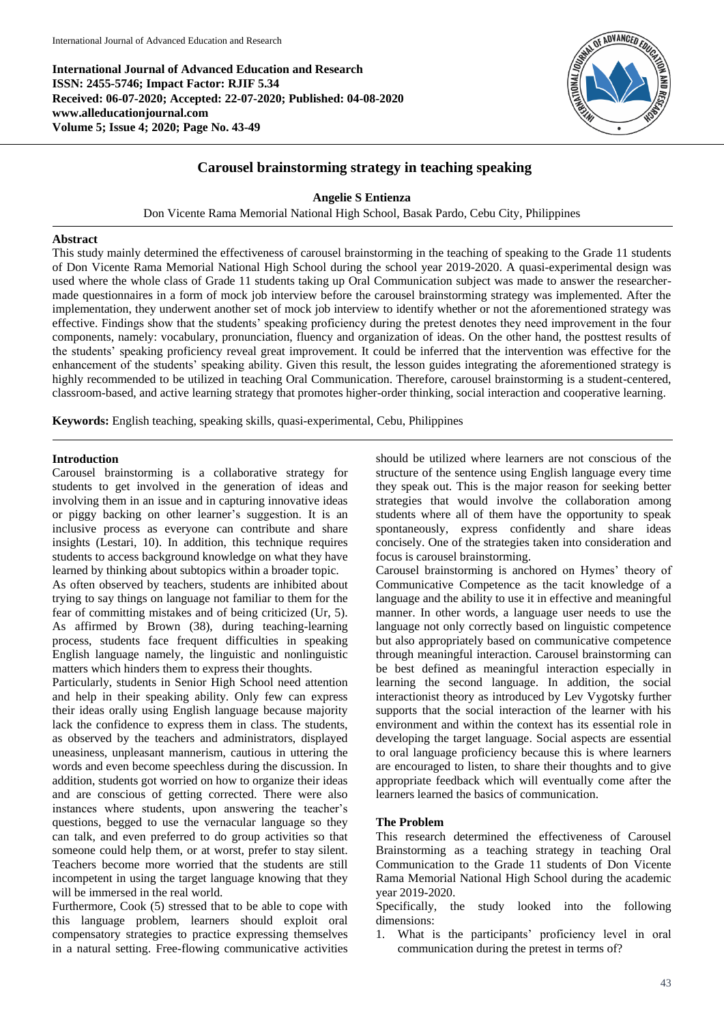**International Journal of Advanced Education and Research ISSN: 2455-5746; Impact Factor: RJIF 5.34 Received: 06-07-2020; Accepted: 22-07-2020; Published: 04-08-2020 www.alleducationjournal.com Volume 5; Issue 4; 2020; Page No. 43-49**



# **Carousel brainstorming strategy in teaching speaking**

**Angelie S Entienza**

Don Vicente Rama Memorial National High School, Basak Pardo, Cebu City, Philippines

#### **Abstract**

This study mainly determined the effectiveness of carousel brainstorming in the teaching of speaking to the Grade 11 students of Don Vicente Rama Memorial National High School during the school year 2019-2020. A quasi-experimental design was used where the whole class of Grade 11 students taking up Oral Communication subject was made to answer the researchermade questionnaires in a form of mock job interview before the carousel brainstorming strategy was implemented. After the implementation, they underwent another set of mock job interview to identify whether or not the aforementioned strategy was effective. Findings show that the students' speaking proficiency during the pretest denotes they need improvement in the four components, namely: vocabulary, pronunciation, fluency and organization of ideas. On the other hand, the posttest results of the students' speaking proficiency reveal great improvement. It could be inferred that the intervention was effective for the enhancement of the students' speaking ability. Given this result, the lesson guides integrating the aforementioned strategy is highly recommended to be utilized in teaching Oral Communication. Therefore, carousel brainstorming is a student-centered, classroom-based, and active learning strategy that promotes higher-order thinking, social interaction and cooperative learning.

**Keywords:** English teaching, speaking skills, quasi-experimental, Cebu, Philippines

#### **Introduction**

Carousel brainstorming is a collaborative strategy for students to get involved in the generation of ideas and involving them in an issue and in capturing innovative ideas or piggy backing on other learner's suggestion. It is an inclusive process as everyone can contribute and share insights (Lestari, 10). In addition, this technique requires students to access background knowledge on what they have learned by thinking about subtopics within a broader topic.

As often observed by teachers, students are inhibited about trying to say things on language not familiar to them for the fear of committing mistakes and of being criticized (Ur, 5). As affirmed by Brown (38), during teaching-learning process, students face frequent difficulties in speaking English language namely, the linguistic and nonlinguistic matters which hinders them to express their thoughts.

Particularly, students in Senior High School need attention and help in their speaking ability. Only few can express their ideas orally using English language because majority lack the confidence to express them in class. The students, as observed by the teachers and administrators, displayed uneasiness, unpleasant mannerism, cautious in uttering the words and even become speechless during the discussion. In addition, students got worried on how to organize their ideas and are conscious of getting corrected. There were also instances where students, upon answering the teacher's questions, begged to use the vernacular language so they can talk, and even preferred to do group activities so that someone could help them, or at worst, prefer to stay silent. Teachers become more worried that the students are still incompetent in using the target language knowing that they will be immersed in the real world.

Furthermore, Cook (5) stressed that to be able to cope with this language problem, learners should exploit oral compensatory strategies to practice expressing themselves in a natural setting. Free-flowing communicative activities

should be utilized where learners are not conscious of the structure of the sentence using English language every time they speak out. This is the major reason for seeking better strategies that would involve the collaboration among students where all of them have the opportunity to speak spontaneously, express confidently and share ideas concisely. One of the strategies taken into consideration and focus is carousel brainstorming.

Carousel brainstorming is anchored on Hymes' theory of Communicative Competence as the tacit knowledge of a language and the ability to use it in effective and meaningful manner. In other words, a language user needs to use the language not only correctly based on linguistic competence but also appropriately based on communicative competence through meaningful interaction. Carousel brainstorming can be best defined as meaningful interaction especially in learning the second language. In addition, the social interactionist theory as introduced by Lev Vygotsky further supports that the social interaction of the learner with his environment and within the context has its essential role in developing the target language. Social aspects are essential to oral language proficiency because this is where learners are encouraged to listen, to share their thoughts and to give appropriate feedback which will eventually come after the learners learned the basics of communication.

### **The Problem**

This research determined the effectiveness of Carousel Brainstorming as a teaching strategy in teaching Oral Communication to the Grade 11 students of Don Vicente Rama Memorial National High School during the academic year 2019-2020.

Specifically, the study looked into the following dimensions:

1. What is the participants' proficiency level in oral communication during the pretest in terms of?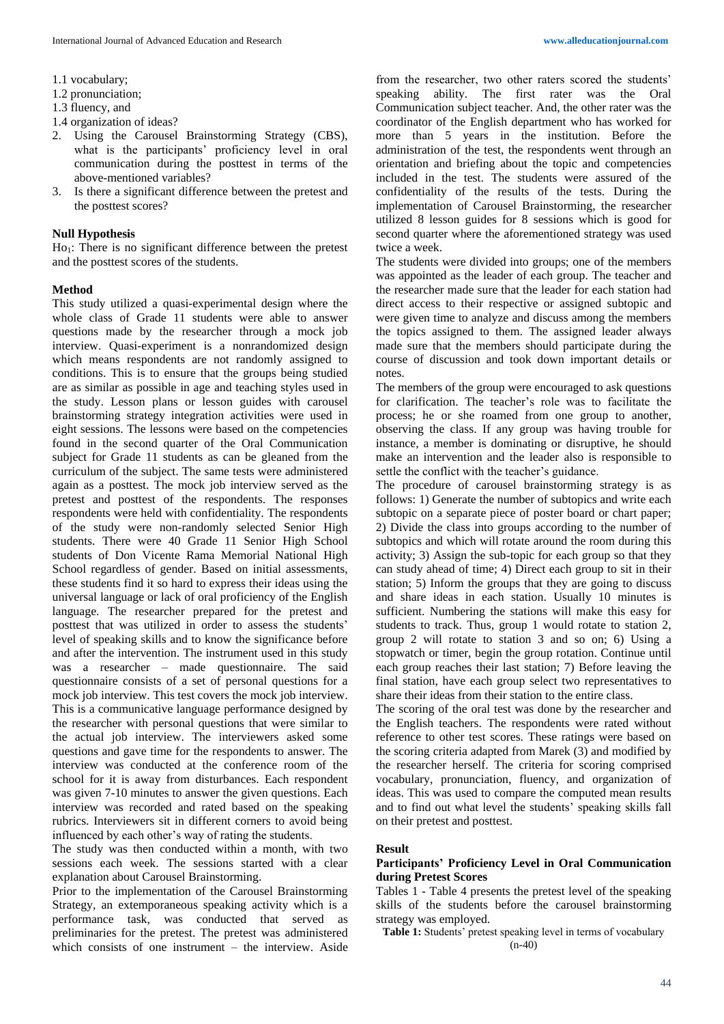- 1.1 vocabulary;
- 1.2 pronunciation;
- 1.3 fluency, and
- 1.4 organization of ideas?
- 2. Using the Carousel Brainstorming Strategy (CBS), what is the participants' proficiency level in oral communication during the posttest in terms of the above-mentioned variables?
- 3. Is there a significant difference between the pretest and the posttest scores?

#### **Null Hypothesis**

 $Ho_1$ : There is no significant difference between the pretest and the posttest scores of the students.

#### **Method**

This study utilized a quasi-experimental design where the whole class of Grade 11 students were able to answer questions made by the researcher through a mock job interview. Quasi-experiment is a nonrandomized design which means respondents are not randomly assigned to conditions. This is to ensure that the groups being studied are as similar as possible in age and teaching styles used in the study. Lesson plans or lesson guides with carousel brainstorming strategy integration activities were used in eight sessions. The lessons were based on the competencies found in the second quarter of the Oral Communication subject for Grade 11 students as can be gleaned from the curriculum of the subject. The same tests were administered again as a posttest. The mock job interview served as the pretest and posttest of the respondents. The responses respondents were held with confidentiality. The respondents of the study were non-randomly selected Senior High students. There were 40 Grade 11 Senior High School students of Don Vicente Rama Memorial National High School regardless of gender. Based on initial assessments, these students find it so hard to express their ideas using the universal language or lack of oral proficiency of the English language. The researcher prepared for the pretest and posttest that was utilized in order to assess the students' level of speaking skills and to know the significance before and after the intervention. The instrument used in this study was a researcher – made questionnaire. The said questionnaire consists of a set of personal questions for a mock job interview. This test covers the mock job interview. This is a communicative language performance designed by the researcher with personal questions that were similar to the actual job interview. The interviewers asked some questions and gave time for the respondents to answer. The interview was conducted at the conference room of the school for it is away from disturbances. Each respondent was given 7-10 minutes to answer the given questions. Each interview was recorded and rated based on the speaking rubrics. Interviewers sit in different corners to avoid being influenced by each other's way of rating the students.

The study was then conducted within a month, with two sessions each week. The sessions started with a clear explanation about Carousel Brainstorming.

Prior to the implementation of the Carousel Brainstorming Strategy, an extemporaneous speaking activity which is a performance task, was conducted that served as preliminaries for the pretest. The pretest was administered which consists of one instrument – the interview. Aside

from the researcher, two other raters scored the students' speaking ability. The first rater was the Oral Communication subject teacher. And, the other rater was the coordinator of the English department who has worked for more than 5 years in the institution. Before the administration of the test, the respondents went through an orientation and briefing about the topic and competencies included in the test. The students were assured of the confidentiality of the results of the tests. During the implementation of Carousel Brainstorming, the researcher utilized 8 lesson guides for 8 sessions which is good for second quarter where the aforementioned strategy was used twice a week.

The students were divided into groups; one of the members was appointed as the leader of each group. The teacher and the researcher made sure that the leader for each station had direct access to their respective or assigned subtopic and were given time to analyze and discuss among the members the topics assigned to them. The assigned leader always made sure that the members should participate during the course of discussion and took down important details or notes.

The members of the group were encouraged to ask questions for clarification. The teacher's role was to facilitate the process; he or she roamed from one group to another, observing the class. If any group was having trouble for instance, a member is dominating or disruptive, he should make an intervention and the leader also is responsible to settle the conflict with the teacher's guidance.

The procedure of carousel brainstorming strategy is as follows: 1) Generate the number of subtopics and write each subtopic on a separate piece of poster board or chart paper; 2) Divide the class into groups according to the number of subtopics and which will rotate around the room during this activity; 3) Assign the sub-topic for each group so that they can study ahead of time; 4) Direct each group to sit in their station; 5) Inform the groups that they are going to discuss and share ideas in each station. Usually 10 minutes is sufficient. Numbering the stations will make this easy for students to track. Thus, group 1 would rotate to station 2, group 2 will rotate to station 3 and so on; 6) Using a stopwatch or timer, begin the group rotation. Continue until each group reaches their last station; 7) Before leaving the final station, have each group select two representatives to share their ideas from their station to the entire class.

The scoring of the oral test was done by the researcher and the English teachers. The respondents were rated without reference to other test scores. These ratings were based on the scoring criteria adapted from Marek (3) and modified by the researcher herself. The criteria for scoring comprised vocabulary, pronunciation, fluency, and organization of ideas. This was used to compare the computed mean results and to find out what level the students' speaking skills fall on their pretest and posttest.

#### **Result**

### **Participants' Proficiency Level in Oral Communication during Pretest Scores**

Tables 1 - Table 4 presents the pretest level of the speaking skills of the students before the carousel brainstorming strategy was employed.

**Table 1:** Students' pretest speaking level in terms of vocabulary (n-40)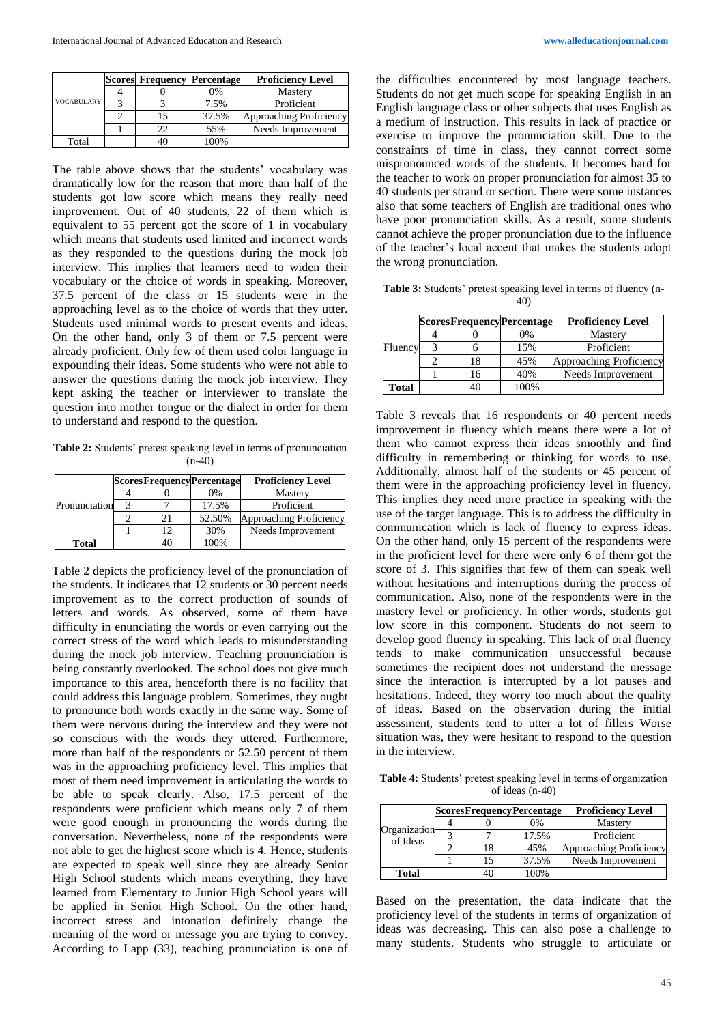|                   | <b>Scores Frequency Percentage</b> |       | <b>Proficiency Level</b> |  |
|-------------------|------------------------------------|-------|--------------------------|--|
|                   |                                    | 0%    | Mastery                  |  |
| <b>VOCABULARY</b> |                                    | 7.5%  | Proficient               |  |
|                   | 15                                 | 37.5% | Approaching Proficiency  |  |
|                   | 22                                 | 55%   | Needs Improvement        |  |
| Total             | 40                                 | 100%  |                          |  |

The table above shows that the students' vocabulary was dramatically low for the reason that more than half of the students got low score which means they really need improvement. Out of 40 students, 22 of them which is equivalent to 55 percent got the score of 1 in vocabulary which means that students used limited and incorrect words as they responded to the questions during the mock job interview. This implies that learners need to widen their vocabulary or the choice of words in speaking. Moreover, 37.5 percent of the class or 15 students were in the approaching level as to the choice of words that they utter. Students used minimal words to present events and ideas. On the other hand, only 3 of them or 7.5 percent were already proficient. Only few of them used color language in expounding their ideas. Some students who were not able to answer the questions during the mock job interview. They kept asking the teacher or interviewer to translate the question into mother tongue or the dialect in order for them to understand and respond to the question.

**Table 2:** Students' pretest speaking level in terms of pronunciation  $(n-40)$ 

|               |    | <b>ScoresFrequencyPercentage</b> | <b>Proficiency Level</b>       |
|---------------|----|----------------------------------|--------------------------------|
| Pronunciation |    | 0%                               | Mastery                        |
|               |    | 17.5%                            | Proficient                     |
|               | 21 | 52.50%                           | <b>Approaching Proficiency</b> |
|               | 12 | 30%                              | Needs Improvement              |
| <b>Total</b>  |    | 100%                             |                                |

Table 2 depicts the proficiency level of the pronunciation of the students. It indicates that 12 students or 30 percent needs improvement as to the correct production of sounds of letters and words. As observed, some of them have difficulty in enunciating the words or even carrying out the correct stress of the word which leads to misunderstanding during the mock job interview. Teaching pronunciation is being constantly overlooked. The school does not give much importance to this area, henceforth there is no facility that could address this language problem. Sometimes, they ought to pronounce both words exactly in the same way. Some of them were nervous during the interview and they were not so conscious with the words they uttered. Furthermore, more than half of the respondents or 52.50 percent of them was in the approaching proficiency level. This implies that most of them need improvement in articulating the words to be able to speak clearly. Also, 17.5 percent of the respondents were proficient which means only 7 of them were good enough in pronouncing the words during the conversation. Nevertheless, none of the respondents were not able to get the highest score which is 4. Hence, students are expected to speak well since they are already Senior High School students which means everything, they have learned from Elementary to Junior High School years will be applied in Senior High School. On the other hand, incorrect stress and intonation definitely change the meaning of the word or message you are trying to convey. According to Lapp (33), teaching pronunciation is one of

the difficulties encountered by most language teachers. Students do not get much scope for speaking English in an English language class or other subjects that uses English as a medium of instruction. This results in lack of practice or exercise to improve the pronunciation skill. Due to the constraints of time in class, they cannot correct some mispronounced words of the students. It becomes hard for the teacher to work on proper pronunciation for almost 35 to 40 students per strand or section. There were some instances also that some teachers of English are traditional ones who have poor pronunciation skills. As a result, some students cannot achieve the proper pronunciation due to the influence of the teacher's local accent that makes the students adopt the wrong pronunciation.

**Table 3:** Students' pretest speaking level in terms of fluency (n-40)

|         |    | <b>ScoresFrequencyPercentage</b> | <b>Proficiency Level</b> |
|---------|----|----------------------------------|--------------------------|
|         |    | 0%                               | Mastery                  |
| Fluency |    | 15%                              | Proficient               |
|         | 18 | 45%                              | Approaching Proficiency  |
|         | 16 | 40%                              | Needs Improvement        |
| Total   |    | 100%                             |                          |

Table 3 reveals that 16 respondents or 40 percent needs improvement in fluency which means there were a lot of them who cannot express their ideas smoothly and find difficulty in remembering or thinking for words to use. Additionally, almost half of the students or 45 percent of them were in the approaching proficiency level in fluency. This implies they need more practice in speaking with the use of the target language. This is to address the difficulty in communication which is lack of fluency to express ideas. On the other hand, only 15 percent of the respondents were in the proficient level for there were only 6 of them got the score of 3. This signifies that few of them can speak well without hesitations and interruptions during the process of communication. Also, none of the respondents were in the mastery level or proficiency. In other words, students got low score in this component. Students do not seem to develop good fluency in speaking. This lack of oral fluency tends to make communication unsuccessful because sometimes the recipient does not understand the message since the interaction is interrupted by a lot pauses and hesitations. Indeed, they worry too much about the quality of ideas. Based on the observation during the initial assessment, students tend to utter a lot of fillers Worse situation was, they were hesitant to respond to the question in the interview.

**Table 4:** Students' pretest speaking level in terms of organization of ideas (n-40)

|                          |    | <b>ScoresFrequencyPercentage</b> | <b>Proficiency Level</b> |
|--------------------------|----|----------------------------------|--------------------------|
| Organization<br>of Ideas |    | 0%                               | Mastery                  |
|                          |    | 17.5%                            | Proficient               |
|                          | 18 | 45%                              | Approaching Proficiency  |
|                          | 15 | 37.5%                            | Needs Improvement        |
| <b>Total</b>             | 40 | 100%                             |                          |

Based on the presentation, the data indicate that the proficiency level of the students in terms of organization of ideas was decreasing. This can also pose a challenge to many students. Students who struggle to articulate or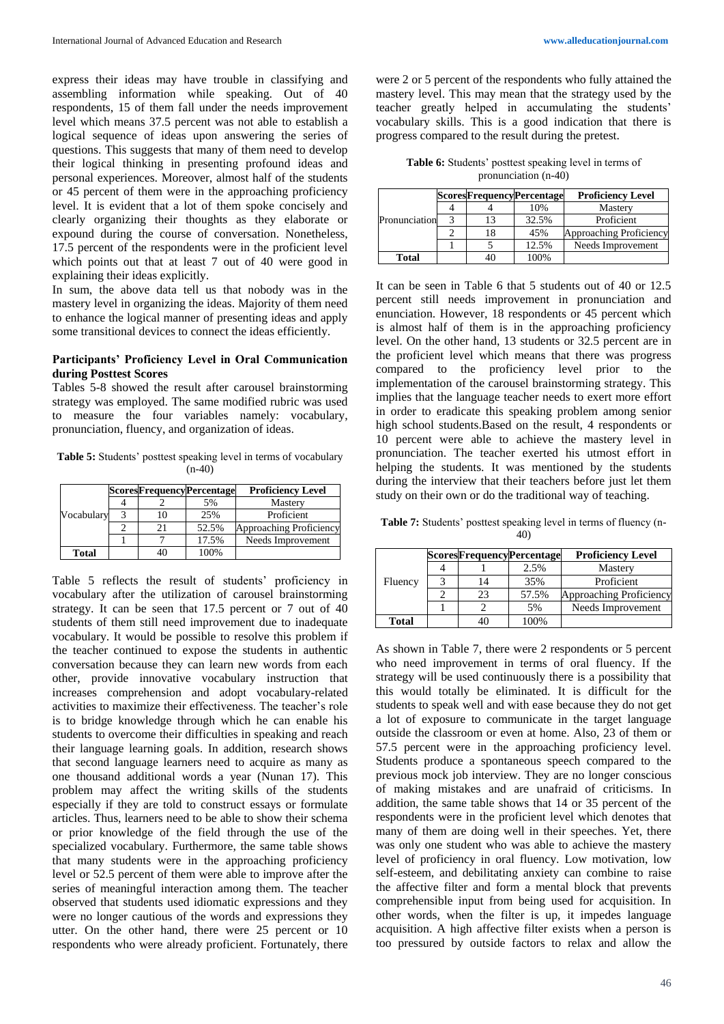express their ideas may have trouble in classifying and assembling information while speaking. Out of 40 respondents, 15 of them fall under the needs improvement level which means 37.5 percent was not able to establish a logical sequence of ideas upon answering the series of questions. This suggests that many of them need to develop their logical thinking in presenting profound ideas and personal experiences. Moreover, almost half of the students or 45 percent of them were in the approaching proficiency level. It is evident that a lot of them spoke concisely and clearly organizing their thoughts as they elaborate or expound during the course of conversation. Nonetheless, 17.5 percent of the respondents were in the proficient level which points out that at least 7 out of 40 were good in explaining their ideas explicitly.

In sum, the above data tell us that nobody was in the mastery level in organizing the ideas. Majority of them need to enhance the logical manner of presenting ideas and apply some transitional devices to connect the ideas efficiently.

### **Participants' Proficiency Level in Oral Communication during Posttest Scores**

Tables 5-8 showed the result after carousel brainstorming strategy was employed. The same modified rubric was used to measure the four variables namely: vocabulary, pronunciation, fluency, and organization of ideas.

**Table 5:** Students' posttest speaking level in terms of vocabulary  $(n-40)$ 

|              |    | <b>ScoresFrequencyPercentage</b> | <b>Proficiency Level</b> |  |
|--------------|----|----------------------------------|--------------------------|--|
|              |    | 5%                               | Mastery                  |  |
| Vocabulary   | 10 | 25%                              | Proficient               |  |
|              |    | 52.5%                            | Approaching Proficiency  |  |
|              |    | 17.5%                            | Needs Improvement        |  |
| <b>Total</b> |    | 100%                             |                          |  |

Table 5 reflects the result of students' proficiency in vocabulary after the utilization of carousel brainstorming strategy. It can be seen that 17.5 percent or 7 out of 40 students of them still need improvement due to inadequate vocabulary. It would be possible to resolve this problem if the teacher continued to expose the students in authentic conversation because they can learn new words from each other, provide innovative vocabulary instruction that increases comprehension and adopt vocabulary-related activities to maximize their effectiveness. The teacher's role is to bridge knowledge through which he can enable his students to overcome their difficulties in speaking and reach their language learning goals. In addition, research shows that second language learners need to acquire as many as one thousand additional words a year (Nunan 17). This problem may affect the writing skills of the students especially if they are told to construct essays or formulate articles. Thus, learners need to be able to show their schema or prior knowledge of the field through the use of the specialized vocabulary. Furthermore, the same table shows that many students were in the approaching proficiency level or 52.5 percent of them were able to improve after the series of meaningful interaction among them. The teacher observed that students used idiomatic expressions and they were no longer cautious of the words and expressions they utter. On the other hand, there were 25 percent or 10 respondents who were already proficient. Fortunately, there were 2 or 5 percent of the respondents who fully attained the mastery level. This may mean that the strategy used by the teacher greatly helped in accumulating the students' vocabulary skills. This is a good indication that there is progress compared to the result during the pretest.

**Table 6:** Students' posttest speaking level in terms of pronunciation (n-40)

|               |  | <b>ScoresFrequencyPercentage</b> | <b>Proficiency Level</b> |  |
|---------------|--|----------------------------------|--------------------------|--|
| Pronunciation |  | 10%                              | Mastery                  |  |
|               |  | 32.5%                            | Proficient               |  |
|               |  | 45%                              | Approaching Proficiency  |  |
|               |  | 12.5%                            | Needs Improvement        |  |
| <b>Total</b>  |  | 100%                             |                          |  |

It can be seen in Table 6 that 5 students out of 40 or 12.5 percent still needs improvement in pronunciation and enunciation. However, 18 respondents or 45 percent which is almost half of them is in the approaching proficiency level. On the other hand, 13 students or 32.5 percent are in the proficient level which means that there was progress compared to the proficiency level prior to the implementation of the carousel brainstorming strategy. This implies that the language teacher needs to exert more effort in order to eradicate this speaking problem among senior high school students.Based on the result, 4 respondents or 10 percent were able to achieve the mastery level in pronunciation. The teacher exerted his utmost effort in helping the students. It was mentioned by the students during the interview that their teachers before just let them study on their own or do the traditional way of teaching.

**Table 7:** Students' posttest speaking level in terms of fluency (n-40)

|              |    | <b>ScoresFrequencyPercentage</b> | <b>Proficiency Level</b> |  |
|--------------|----|----------------------------------|--------------------------|--|
|              |    | 2.5%                             | Mastery                  |  |
| Fluency      | 14 | 35%                              | Proficient               |  |
|              | 23 | 57.5%                            | Approaching Proficiency  |  |
|              |    | 5%                               | Needs Improvement        |  |
| <b>Total</b> | 40 | 100%                             |                          |  |

As shown in Table 7, there were 2 respondents or 5 percent who need improvement in terms of oral fluency. If the strategy will be used continuously there is a possibility that this would totally be eliminated. It is difficult for the students to speak well and with ease because they do not get a lot of exposure to communicate in the target language outside the classroom or even at home. Also, 23 of them or 57.5 percent were in the approaching proficiency level. Students produce a spontaneous speech compared to the previous mock job interview. They are no longer conscious of making mistakes and are unafraid of criticisms. In addition, the same table shows that 14 or 35 percent of the respondents were in the proficient level which denotes that many of them are doing well in their speeches. Yet, there was only one student who was able to achieve the mastery level of proficiency in oral fluency. Low motivation, low self-esteem, and debilitating anxiety can combine to raise the affective filter and form a mental block that prevents comprehensible input from being used for acquisition. In other words, when the filter is up, it impedes language acquisition. A high affective filter exists when a person is too pressured by outside factors to relax and allow the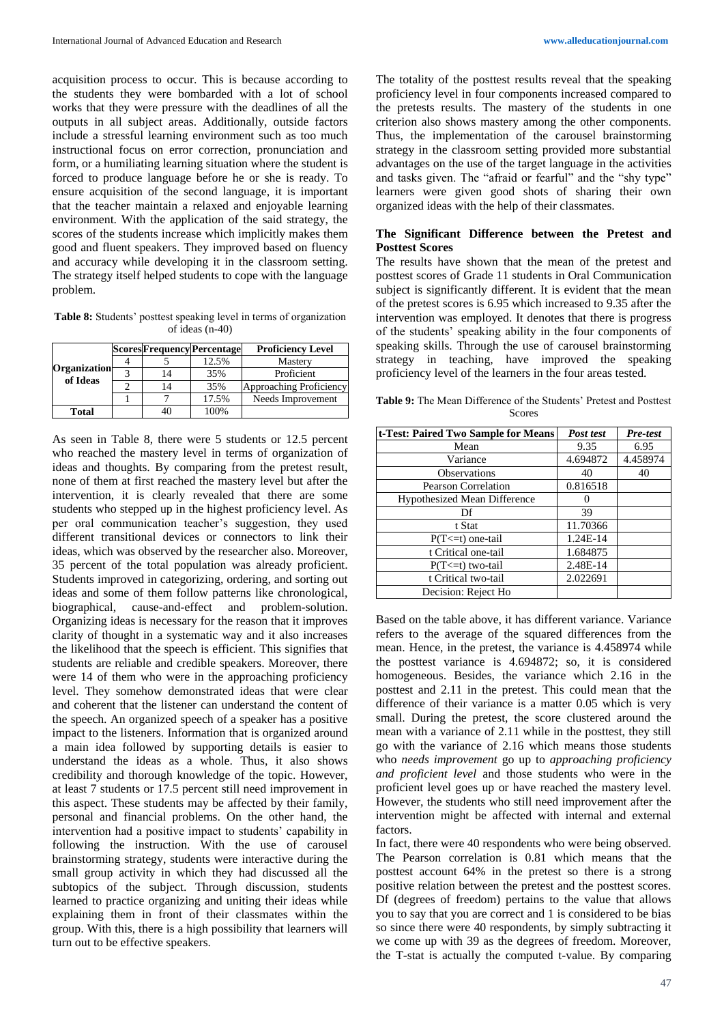acquisition process to occur. This is because according to the students they were bombarded with a lot of school works that they were pressure with the deadlines of all the outputs in all subject areas. Additionally, outside factors include a stressful learning environment such as too much instructional focus on error correction, pronunciation and form, or a humiliating learning situation where the student is forced to produce language before he or she is ready. To ensure acquisition of the second language, it is important that the teacher maintain a relaxed and enjoyable learning environment. With the application of the said strategy, the scores of the students increase which implicitly makes them good and fluent speakers. They improved based on fluency and accuracy while developing it in the classroom setting. The strategy itself helped students to cope with the language problem.

**Table 8:** Students' posttest speaking level in terms of organization of ideas (n-40)

|                                 |    | <b>Scores Frequency Percentage</b> | <b>Proficiency Level</b> |  |
|---------------------------------|----|------------------------------------|--------------------------|--|
| <b>Organization</b><br>of Ideas |    | 12.5%                              | Mastery                  |  |
|                                 |    | 35%                                | Proficient               |  |
|                                 | 14 | 35%                                | Approaching Proficiency  |  |
|                                 |    | 17.5%                              | Needs Improvement        |  |
| <b>Total</b>                    |    | 100%                               |                          |  |

As seen in Table 8, there were 5 students or 12.5 percent who reached the mastery level in terms of organization of ideas and thoughts. By comparing from the pretest result, none of them at first reached the mastery level but after the intervention, it is clearly revealed that there are some students who stepped up in the highest proficiency level. As per oral communication teacher's suggestion, they used different transitional devices or connectors to link their ideas, which was observed by the researcher also. Moreover, 35 percent of the total population was already proficient. Students improved in categorizing, ordering, and sorting out ideas and some of them follow patterns like chronological, biographical, cause-and-effect and problem-solution. Organizing ideas is necessary for the reason that it improves clarity of thought in a systematic way and it also increases the likelihood that the speech is efficient. This signifies that students are reliable and credible speakers. Moreover, there were 14 of them who were in the approaching proficiency level. They somehow demonstrated ideas that were clear and coherent that the listener can understand the content of the speech. An organized speech of a speaker has a positive impact to the listeners. Information that is organized around a main idea followed by supporting details is easier to understand the ideas as a whole. Thus, it also shows credibility and thorough knowledge of the topic. However, at least 7 students or 17.5 percent still need improvement in this aspect. These students may be affected by their family, personal and financial problems. On the other hand, the intervention had a positive impact to students' capability in following the instruction. With the use of carousel brainstorming strategy, students were interactive during the small group activity in which they had discussed all the subtopics of the subject. Through discussion, students learned to practice organizing and uniting their ideas while explaining them in front of their classmates within the group. With this, there is a high possibility that learners will turn out to be effective speakers.

The totality of the posttest results reveal that the speaking proficiency level in four components increased compared to the pretests results. The mastery of the students in one criterion also shows mastery among the other components. Thus, the implementation of the carousel brainstorming strategy in the classroom setting provided more substantial advantages on the use of the target language in the activities and tasks given. The "afraid or fearful" and the "shy type" learners were given good shots of sharing their own organized ideas with the help of their classmates.

#### **The Significant Difference between the Pretest and Posttest Scores**

The results have shown that the mean of the pretest and posttest scores of Grade 11 students in Oral Communication subject is significantly different. It is evident that the mean of the pretest scores is 6.95 which increased to 9.35 after the intervention was employed. It denotes that there is progress of the students' speaking ability in the four components of speaking skills. Through the use of carousel brainstorming strategy in teaching, have improved the speaking proficiency level of the learners in the four areas tested.

**Table 9:** The Mean Difference of the Students' Pretest and Posttest Scores

| t-Test: Paired Two Sample for Means | Post test | Pre-test |
|-------------------------------------|-----------|----------|
| Mean                                | 9.35      | 6.95     |
| Variance                            | 4.694872  | 4.458974 |
| <b>Observations</b>                 | 40        | 40       |
| <b>Pearson Correlation</b>          | 0.816518  |          |
| <b>Hypothesized Mean Difference</b> | 0         |          |
| Df                                  | 39        |          |
| t Stat                              | 11.70366  |          |
| $P(T \le t)$ one-tail               | 1.24E-14  |          |
| t Critical one-tail                 | 1.684875  |          |
| $P(T \le t)$ two-tail               | 2.48E-14  |          |
| t Critical two-tail                 | 2.022691  |          |
| Decision: Reject Ho                 |           |          |

Based on the table above, it has different variance. Variance refers to the average of the squared differences from the mean. Hence, in the pretest, the variance is 4.458974 while the posttest variance is 4.694872; so, it is considered homogeneous. Besides, the variance which 2.16 in the posttest and 2.11 in the pretest. This could mean that the difference of their variance is a matter 0.05 which is very small. During the pretest, the score clustered around the mean with a variance of 2.11 while in the posttest, they still go with the variance of 2.16 which means those students who *needs improvement* go up to *approaching proficiency and proficient level* and those students who were in the proficient level goes up or have reached the mastery level. However, the students who still need improvement after the intervention might be affected with internal and external factors.

In fact, there were 40 respondents who were being observed. The Pearson correlation is 0.81 which means that the posttest account 64% in the pretest so there is a strong positive relation between the pretest and the posttest scores. Df (degrees of freedom) pertains to the value that allows you to say that you are correct and 1 is considered to be bias so since there were 40 respondents, by simply subtracting it we come up with 39 as the degrees of freedom. Moreover, the T-stat is actually the computed t-value. By comparing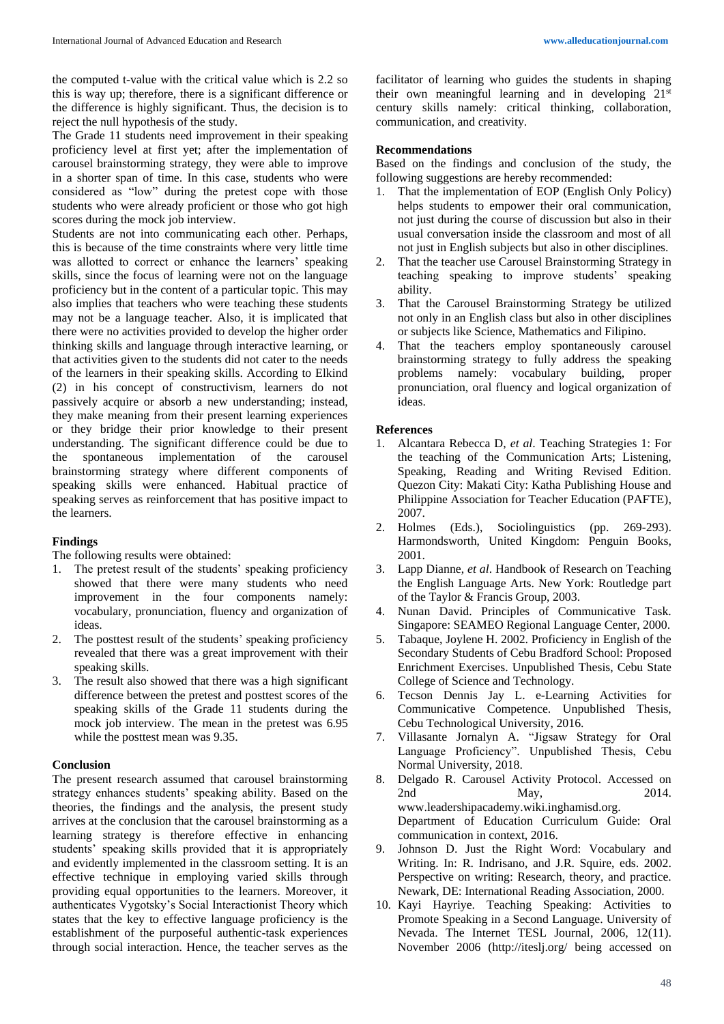the computed t-value with the critical value which is 2.2 so this is way up; therefore, there is a significant difference or the difference is highly significant. Thus, the decision is to reject the null hypothesis of the study.

The Grade 11 students need improvement in their speaking proficiency level at first yet; after the implementation of carousel brainstorming strategy, they were able to improve in a shorter span of time. In this case, students who were considered as "low" during the pretest cope with those students who were already proficient or those who got high scores during the mock job interview.

Students are not into communicating each other. Perhaps, this is because of the time constraints where very little time was allotted to correct or enhance the learners' speaking skills, since the focus of learning were not on the language proficiency but in the content of a particular topic. This may also implies that teachers who were teaching these students may not be a language teacher. Also, it is implicated that there were no activities provided to develop the higher order thinking skills and language through interactive learning, or that activities given to the students did not cater to the needs of the learners in their speaking skills. According to Elkind (2) in his concept of constructivism, learners do not passively acquire or absorb a new understanding; instead, they make meaning from their present learning experiences or they bridge their prior knowledge to their present understanding. The significant difference could be due to the spontaneous implementation of the carousel brainstorming strategy where different components of speaking skills were enhanced. Habitual practice of speaking serves as reinforcement that has positive impact to the learners.

# **Findings**

The following results were obtained:

- 1. The pretest result of the students' speaking proficiency showed that there were many students who need improvement in the four components namely: vocabulary, pronunciation, fluency and organization of ideas.
- 2. The posttest result of the students' speaking proficiency revealed that there was a great improvement with their speaking skills.
- 3. The result also showed that there was a high significant difference between the pretest and posttest scores of the speaking skills of the Grade 11 students during the mock job interview. The mean in the pretest was 6.95 while the posttest mean was 9.35.

### **Conclusion**

The present research assumed that carousel brainstorming strategy enhances students' speaking ability. Based on the theories, the findings and the analysis, the present study arrives at the conclusion that the carousel brainstorming as a learning strategy is therefore effective in enhancing students' speaking skills provided that it is appropriately and evidently implemented in the classroom setting. It is an effective technique in employing varied skills through providing equal opportunities to the learners. Moreover, it authenticates Vygotsky's Social Interactionist Theory which states that the key to effective language proficiency is the establishment of the purposeful authentic-task experiences through social interaction. Hence, the teacher serves as the facilitator of learning who guides the students in shaping their own meaningful learning and in developing  $21^{st}$ century skills namely: critical thinking, collaboration, communication, and creativity.

## **Recommendations**

Based on the findings and conclusion of the study, the following suggestions are hereby recommended:

- 1. That the implementation of EOP (English Only Policy) helps students to empower their oral communication, not just during the course of discussion but also in their usual conversation inside the classroom and most of all not just in English subjects but also in other disciplines.
- 2. That the teacher use Carousel Brainstorming Strategy in teaching speaking to improve students' speaking ability.
- 3. That the Carousel Brainstorming Strategy be utilized not only in an English class but also in other disciplines or subjects like Science, Mathematics and Filipino.
- 4. That the teachers employ spontaneously carousel brainstorming strategy to fully address the speaking problems namely: vocabulary building, proper pronunciation, oral fluency and logical organization of ideas.

### **References**

- 1. Alcantara Rebecca D, *et al*. Teaching Strategies 1: For the teaching of the Communication Arts; Listening, Speaking, Reading and Writing Revised Edition. Quezon City: Makati City: Katha Publishing House and Philippine Association for Teacher Education (PAFTE), 2007.<br>2. Holmes
- (Eds.), Sociolinguistics (pp. 269-293). Harmondsworth, United Kingdom: Penguin Books, 2001.
- 3. Lapp Dianne, *et al*. Handbook of Research on Teaching the English Language Arts. New York: Routledge part of the Taylor & Francis Group, 2003.
- 4. Nunan David. Principles of Communicative Task. Singapore: SEAMEO Regional Language Center, 2000.
- 5. Tabaque, Joylene H. 2002. Proficiency in English of the Secondary Students of Cebu Bradford School: Proposed Enrichment Exercises. Unpublished Thesis, Cebu State College of Science and Technology.
- 6. Tecson Dennis Jay L. e-Learning Activities for Communicative Competence. Unpublished Thesis, Cebu Technological University, 2016.
- 7. Villasante Jornalyn A. "Jigsaw Strategy for Oral Language Proficiency". Unpublished Thesis, Cebu Normal University, 2018.
- 8. Delgado R. Carousel Activity Protocol. Accessed on 2nd May, 2014. www.leadershipacademy.wiki.inghamisd.org. Department of Education Curriculum Guide: Oral communication in context, 2016.
- 9. Johnson D. Just the Right Word: Vocabulary and Writing. In: R. Indrisano, and J.R. Squire, eds. 2002. Perspective on writing: Research, theory, and practice. Newark, DE: International Reading Association, 2000.
- 10. Kayi Hayriye. Teaching Speaking: Activities to Promote Speaking in a Second Language. University of Nevada. The Internet TESL Journal, 2006, 12(11). November 2006 (http://iteslj.org/ being accessed on